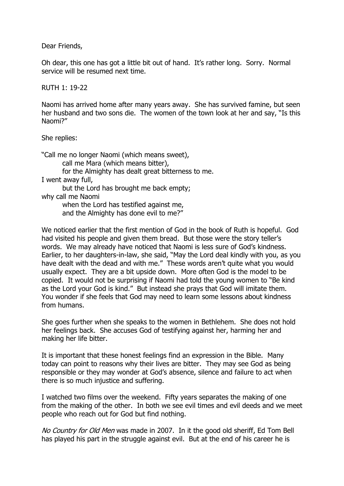Dear Friends,

Oh dear, this one has got a little bit out of hand. It's rather long. Sorry. Normal service will be resumed next time.

RUTH 1: 19-22

Naomi has arrived home after many years away. She has survived famine, but seen her husband and two sons die. The women of the town look at her and say, "Is this Naomi?"

She replies:

"Call me no longer Naomi (which means sweet), call me Mara (which means bitter), for the Almighty has dealt great bitterness to me. I went away full, but the Lord has brought me back empty; why call me Naomi when the Lord has testified against me, and the Almighty has done evil to me?"

We noticed earlier that the first mention of God in the book of Ruth is hopeful. God had visited his people and given them bread. But those were the story teller's words. We may already have noticed that Naomi is less sure of God's kindness. Earlier, to her daughters-in-law, she said, "May the Lord deal kindly with you, as you have dealt with the dead and with me." These words aren't quite what you would usually expect. They are a bit upside down. More often God is the model to be copied. It would not be surprising if Naomi had told the young women to "Be kind as the Lord your God is kind." But instead she prays that God will imitate them. You wonder if she feels that God may need to learn some lessons about kindness from humans.

She goes further when she speaks to the women in Bethlehem. She does not hold her feelings back. She accuses God of testifying against her, harming her and making her life bitter.

It is important that these honest feelings find an expression in the Bible. Many today can point to reasons why their lives are bitter. They may see God as being responsible or they may wonder at God's absence, silence and failure to act when there is so much injustice and suffering.

I watched two films over the weekend. Fifty years separates the making of one from the making of the other. In both we see evil times and evil deeds and we meet people who reach out for God but find nothing.

No Country for Old Men was made in 2007. In it the good old sheriff, Ed Tom Bell has played his part in the struggle against evil. But at the end of his career he is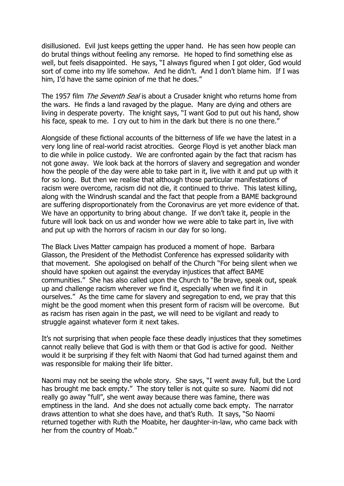disillusioned. Evil just keeps getting the upper hand. He has seen how people can do brutal things without feeling any remorse. He hoped to find something else as well, but feels disappointed. He says, "I always figured when I got older, God would sort of come into my life somehow. And he didn't. And I don't blame him. If I was him, I'd have the same opinion of me that he does."

The 1957 film *The Seventh Seal* is about a Crusader knight who returns home from the wars. He finds a land ravaged by the plague. Many are dying and others are living in desperate poverty. The knight says, "I want God to put out his hand, show his face, speak to me. I cry out to him in the dark but there is no one there."

Alongside of these fictional accounts of the bitterness of life we have the latest in a very long line of real-world racist atrocities. George Floyd is yet another black man to die while in police custody. We are confronted again by the fact that racism has not gone away. We look back at the horrors of slavery and segregation and wonder how the people of the day were able to take part in it, live with it and put up with it for so long. But then we realise that although those particular manifestations of racism were overcome, racism did not die, it continued to thrive. This latest killing, along with the Windrush scandal and the fact that people from a BAME background are suffering disproportionately from the Coronavirus are yet more evidence of that. We have an opportunity to bring about change. If we don't take it, people in the future will look back on us and wonder how we were able to take part in, live with and put up with the horrors of racism in our day for so long.

The Black Lives Matter campaign has produced a moment of hope. Barbara Glasson, the President of the Methodist Conference has expressed solidarity with that movement. She apologised on behalf of the Church "For being silent when we should have spoken out against the everyday injustices that affect BAME communities." She has also called upon the Church to "Be brave, speak out, speak up and challenge racism wherever we find it, especially when we find it in ourselves." As the time came for slavery and segregation to end, we pray that this might be the good moment when this present form of racism will be overcome. But as racism has risen again in the past, we will need to be vigilant and ready to struggle against whatever form it next takes.

It's not surprising that when people face these deadly injustices that they sometimes cannot really believe that God is with them or that God is active for good. Neither would it be surprising if they felt with Naomi that God had turned against them and was responsible for making their life bitter.

Naomi may not be seeing the whole story. She says, "I went away full, but the Lord has brought me back empty." The story teller is not quite so sure. Naomi did not really go away "full", she went away because there was famine, there was emptiness in the land. And she does not actually come back empty. The narrator draws attention to what she does have, and that's Ruth. It says, "So Naomi returned together with Ruth the Moabite, her daughter-in-law, who came back with her from the country of Moab."